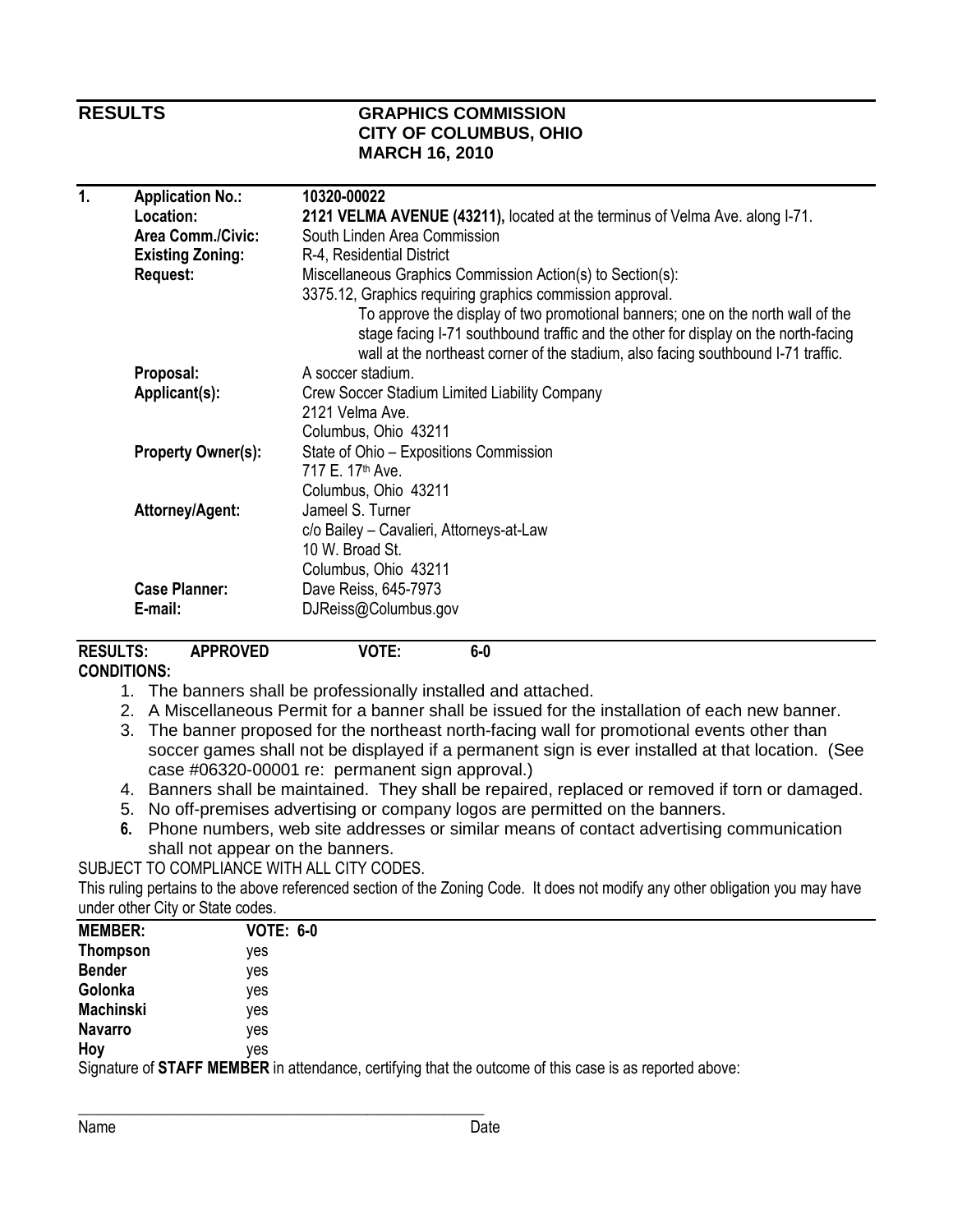### **RESULTS GRAPHICS COMMISSION CITY OF COLUMBUS, OHIO MARCH 16, 2010**

| 1. | <b>Application No.:</b>   | 10320-00022                                                                                                                                                                                                                                                |
|----|---------------------------|------------------------------------------------------------------------------------------------------------------------------------------------------------------------------------------------------------------------------------------------------------|
|    | Location:                 | 2121 VELMA AVENUE (43211), located at the terminus of Velma Ave. along I-71.                                                                                                                                                                               |
|    | <b>Area Comm./Civic:</b>  | South Linden Area Commission                                                                                                                                                                                                                               |
|    | <b>Existing Zoning:</b>   | R-4, Residential District                                                                                                                                                                                                                                  |
|    | <b>Request:</b>           | Miscellaneous Graphics Commission Action(s) to Section(s):                                                                                                                                                                                                 |
|    |                           | 3375.12, Graphics requiring graphics commission approval.                                                                                                                                                                                                  |
|    |                           | To approve the display of two promotional banners; one on the north wall of the<br>stage facing I-71 southbound traffic and the other for display on the north-facing<br>wall at the northeast corner of the stadium, also facing southbound I-71 traffic. |
|    | Proposal:                 | A soccer stadium.                                                                                                                                                                                                                                          |
|    | Applicant(s):             | Crew Soccer Stadium Limited Liability Company                                                                                                                                                                                                              |
|    |                           | 2121 Velma Ave.                                                                                                                                                                                                                                            |
|    |                           | Columbus, Ohio 43211                                                                                                                                                                                                                                       |
|    | <b>Property Owner(s):</b> | State of Ohio - Expositions Commission                                                                                                                                                                                                                     |
|    |                           | 717 E. 17 <sup>th</sup> Ave.                                                                                                                                                                                                                               |
|    |                           | Columbus, Ohio 43211                                                                                                                                                                                                                                       |
|    | Attorney/Agent:           | Jameel S. Turner                                                                                                                                                                                                                                           |
|    |                           | c/o Bailey - Cavalieri, Attorneys-at-Law                                                                                                                                                                                                                   |
|    |                           | 10 W. Broad St.                                                                                                                                                                                                                                            |
|    |                           | Columbus, Ohio 43211                                                                                                                                                                                                                                       |
|    | <b>Case Planner:</b>      | Dave Reiss, 645-7973                                                                                                                                                                                                                                       |
|    | E-mail:                   | DJReiss@Columbus.gov                                                                                                                                                                                                                                       |
|    |                           |                                                                                                                                                                                                                                                            |

# RESULTS: APPROVED VOTE: 6-0

### CONDITIONS:

- 1. The banners shall be professionally installed and attached.
- 2. A Miscellaneous Permit for a banner shall be issued for the installation of each new banner.
- 3. The banner proposed for the northeast north-facing wall for promotional events other than soccer games shall not be displayed if a permanent sign is ever installed at that location. (See case #06320-00001 re: permanent sign approval.)
- 4. Banners shall be maintained. They shall be repaired, replaced or removed if torn or damaged.
- 5. No off-premises advertising or company logos are permitted on the banners.
- 6. Phone numbers, web site addresses or similar means of contact advertising communication shall not appear on the banners.

SUBJECT TO COMPLIANCE WITH ALL CITY CODES.

This ruling pertains to the above referenced section of the Zoning Code. It does not modify any other obligation you may have under other City or State codes.

| <b>MEMBER:</b>   | <b>VOTE: 6-0</b>                                                                                              |
|------------------|---------------------------------------------------------------------------------------------------------------|
| <b>Thompson</b>  | ves                                                                                                           |
| <b>Bender</b>    | ves                                                                                                           |
| Golonka          | ves                                                                                                           |
| <b>Machinski</b> | ves                                                                                                           |
| <b>Navarro</b>   | ves                                                                                                           |
| Hoy              | ves                                                                                                           |
|                  | Cianature of <b>STAFF MEMRED</b> in attendance certifying that the outcome of this case is as renorted above: |

Signature of STAFF MEMBER in attendance, certifying that the outcome of this case is as reported above: